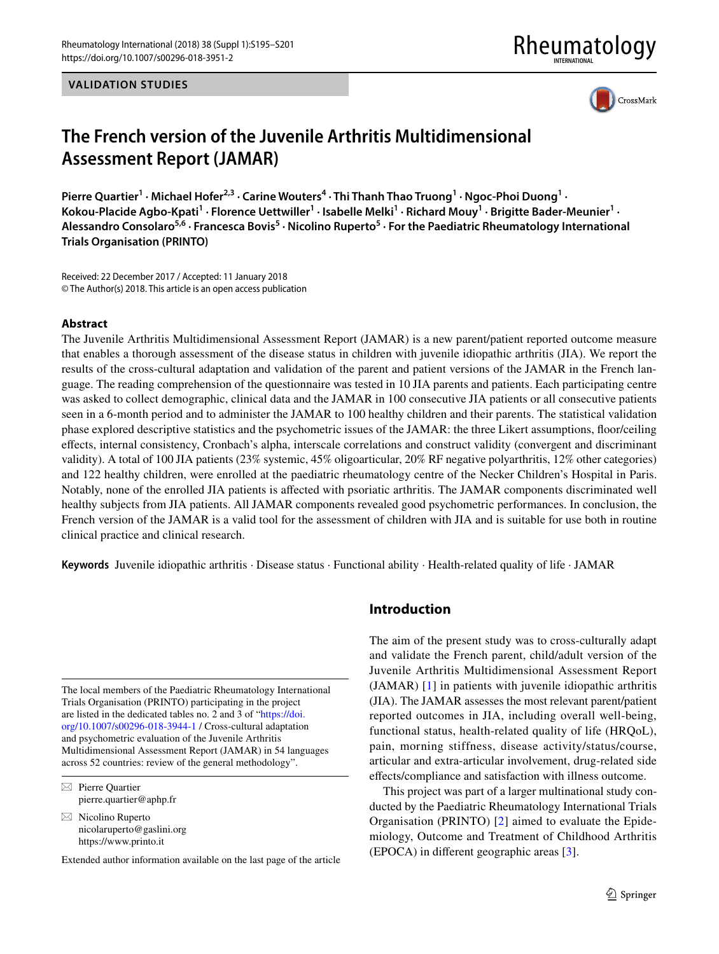**VALIDATION STUDIES**

# Rheumatology



# **The French version of the Juvenile Arthritis Multidimensional Assessment Report (JAMAR)**

Pierre Quartier<sup>1</sup> · Michael Hofer<sup>2,3</sup> · Carine Wouters<sup>4</sup> · Thi Thanh Thao Truong<sup>1</sup> · Ngoc-Phoi Duong<sup>1</sup> · Kokou-Placide Agbo-Kpati<sup>1</sup> · Florence Uettwiller<sup>1</sup> · Isabelle Melki<sup>1</sup> · Richard Mouy<sup>1</sup> · Brigitte Bader-Meunier<sup>1</sup> · Alessandro Consolaro<sup>5,6</sup> · Francesca Bovis<sup>5</sup> · Nicolino Ruperto<sup>5</sup> · For the Paediatric Rheumatology International **Trials Organisation (PRINTO)**

Received: 22 December 2017 / Accepted: 11 January 2018 © The Author(s) 2018. This article is an open access publication

#### **Abstract**

The Juvenile Arthritis Multidimensional Assessment Report (JAMAR) is a new parent/patient reported outcome measure that enables a thorough assessment of the disease status in children with juvenile idiopathic arthritis (JIA). We report the results of the cross-cultural adaptation and validation of the parent and patient versions of the JAMAR in the French language. The reading comprehension of the questionnaire was tested in 10 JIA parents and patients. Each participating centre was asked to collect demographic, clinical data and the JAMAR in 100 consecutive JIA patients or all consecutive patients seen in a 6-month period and to administer the JAMAR to 100 healthy children and their parents. The statistical validation phase explored descriptive statistics and the psychometric issues of the JAMAR: the three Likert assumptions, foor/ceiling efects, internal consistency, Cronbach's alpha, interscale correlations and construct validity (convergent and discriminant validity). A total of 100 JIA patients (23% systemic, 45% oligoarticular, 20% RF negative polyarthritis, 12% other categories) and 122 healthy children, were enrolled at the paediatric rheumatology centre of the Necker Children's Hospital in Paris. Notably, none of the enrolled JIA patients is afected with psoriatic arthritis. The JAMAR components discriminated well healthy subjects from JIA patients. All JAMAR components revealed good psychometric performances. In conclusion, the French version of the JAMAR is a valid tool for the assessment of children with JIA and is suitable for use both in routine clinical practice and clinical research.

**Keywords** Juvenile idiopathic arthritis · Disease status · Functional ability · Health-related quality of life · JAMAR

The local members of the Paediatric Rheumatology International Trials Organisation (PRINTO) participating in the project are listed in the dedicated tables no. 2 and 3 of "[https://doi.](https://doi.org/10.1007/s00296-018-3944-1) [org/10.1007/s00296-018-3944-1](https://doi.org/10.1007/s00296-018-3944-1) / Cross-cultural adaptation and psychometric evaluation of the Juvenile Arthritis Multidimensional Assessment Report (JAMAR) in 54 languages across 52 countries: review of the general methodology".

 $\boxtimes$  Pierre Quartier pierre.quartier@aphp.fr

 $\boxtimes$  Nicolino Ruperto nicolaruperto@gaslini.org https://www.printo.it

Extended author information available on the last page of the article

### **Introduction**

The aim of the present study was to cross-culturally adapt and validate the French parent, child/adult version of the Juvenile Arthritis Multidimensional Assessment Report (JAMAR) [\[1](#page-5-0)] in patients with juvenile idiopathic arthritis (JIA). The JAMAR assesses the most relevant parent/patient reported outcomes in JIA, including overall well-being, functional status, health-related quality of life (HRQoL), pain, morning stiffness, disease activity/status/course, articular and extra-articular involvement, drug-related side efects/compliance and satisfaction with illness outcome.

This project was part of a larger multinational study conducted by the Paediatric Rheumatology International Trials Organisation (PRINTO) [[2](#page-5-1)] aimed to evaluate the Epidemiology, Outcome and Treatment of Childhood Arthritis (EPOCA) in diferent geographic areas [[3](#page-5-2)].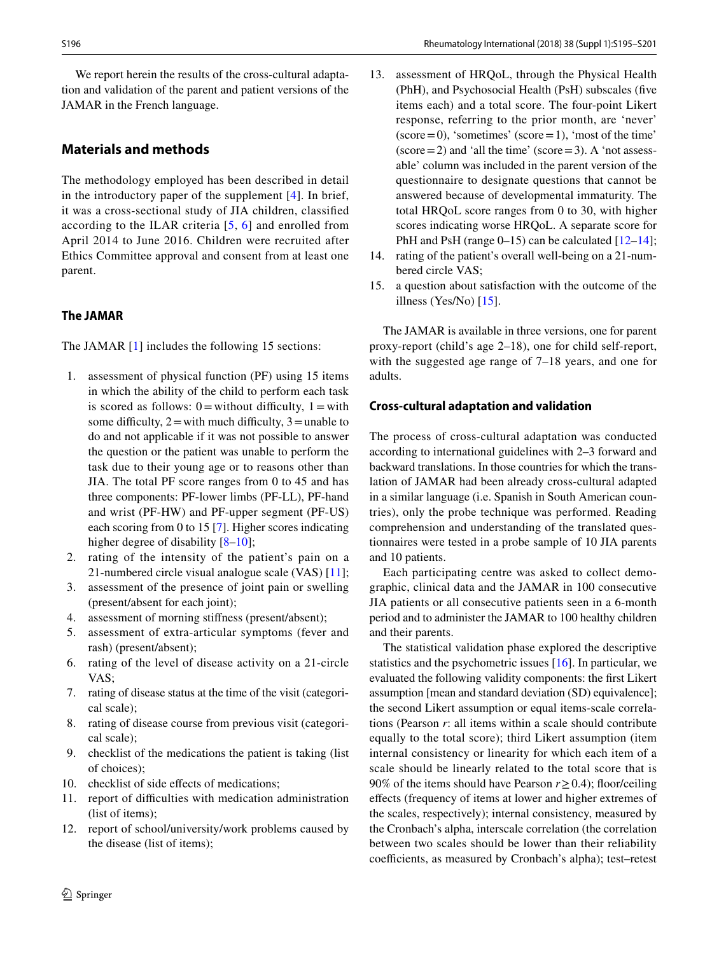We report herein the results of the cross-cultural adaptation and validation of the parent and patient versions of the JAMAR in the French language.

# **Materials and methods**

The methodology employed has been described in detail in the introductory paper of the supplement [[4\]](#page-5-3). In brief, it was a cross-sectional study of JIA children, classifed according to the ILAR criteria [[5](#page-5-4), [6\]](#page-6-0) and enrolled from April 2014 to June 2016. Children were recruited after Ethics Committee approval and consent from at least one parent.

# **The JAMAR**

The JAMAR [[1](#page-5-0)] includes the following 15 sections:

- 1. assessment of physical function (PF) using 15 items in which the ability of the child to perform each task is scored as follows:  $0 =$  without difficulty,  $1 =$  with some difficulty,  $2 =$  with much difficulty,  $3 =$ unable to do and not applicable if it was not possible to answer the question or the patient was unable to perform the task due to their young age or to reasons other than JIA. The total PF score ranges from 0 to 45 and has three components: PF-lower limbs (PF-LL), PF-hand and wrist (PF-HW) and PF-upper segment (PF-US) each scoring from 0 to 15 [\[7](#page-6-1)]. Higher scores indicating higher degree of disability  $[8-10]$  $[8-10]$ ;
- 2. rating of the intensity of the patient's pain on a 21-numbered circle visual analogue scale (VAS) [\[11](#page-6-4)];
- assessment of the presence of joint pain or swelling (present/absent for each joint);
- 4. assessment of morning stifness (present/absent);
- 5. assessment of extra-articular symptoms (fever and rash) (present/absent);
- 6. rating of the level of disease activity on a 21-circle VAS;
- 7. rating of disease status at the time of the visit (categorical scale);
- 8. rating of disease course from previous visit (categorical scale);
- 9. checklist of the medications the patient is taking (list of choices);
- 10. checklist of side efects of medications;
- 11. report of difficulties with medication administration (list of items);
- 12. report of school/university/work problems caused by the disease (list of items);
- S196 Rheumatology International (2018) 38 (Suppl 1):S195–S201
	- 13. assessment of HRQoL, through the Physical Health (PhH), and Psychosocial Health (PsH) subscales (fve items each) and a total score. The four-point Likert response, referring to the prior month, are 'never'  $(score=0)$ , 'sometimes'  $(score=1)$ , 'most of the time'  $(\text{score}=2)$  and 'all the time'  $(\text{score}=3)$ . A 'not assessable' column was included in the parent version of the questionnaire to designate questions that cannot be answered because of developmental immaturity. The total HRQoL score ranges from 0 to 30, with higher scores indicating worse HRQoL. A separate score for PhH and PsH (range  $0-15$ ) can be calculated  $[12-14]$  $[12-14]$  $[12-14]$ ;
	- 14. rating of the patient's overall well-being on a 21-numbered circle VAS;
	- 15. a question about satisfaction with the outcome of the illness (Yes/No) [\[15](#page-6-7)].

The JAMAR is available in three versions, one for parent proxy-report (child's age 2–18), one for child self-report, with the suggested age range of 7–18 years, and one for adults.

# **Cross‑cultural adaptation and validation**

The process of cross-cultural adaptation was conducted according to international guidelines with 2–3 forward and backward translations. In those countries for which the translation of JAMAR had been already cross-cultural adapted in a similar language (i.e. Spanish in South American countries), only the probe technique was performed. Reading comprehension and understanding of the translated questionnaires were tested in a probe sample of 10 JIA parents and 10 patients.

Each participating centre was asked to collect demographic, clinical data and the JAMAR in 100 consecutive JIA patients or all consecutive patients seen in a 6-month period and to administer the JAMAR to 100 healthy children and their parents.

The statistical validation phase explored the descriptive statistics and the psychometric issues [\[16\]](#page-6-8). In particular, we evaluated the following validity components: the frst Likert assumption [mean and standard deviation (SD) equivalence]; the second Likert assumption or equal items-scale correlations (Pearson *r*: all items within a scale should contribute equally to the total score); third Likert assumption (item internal consistency or linearity for which each item of a scale should be linearly related to the total score that is 90% of the items should have Pearson *r*≥0.4); foor/ceiling efects (frequency of items at lower and higher extremes of the scales, respectively); internal consistency, measured by the Cronbach's alpha, interscale correlation (the correlation between two scales should be lower than their reliability coefficients, as measured by Cronbach's alpha); test–retest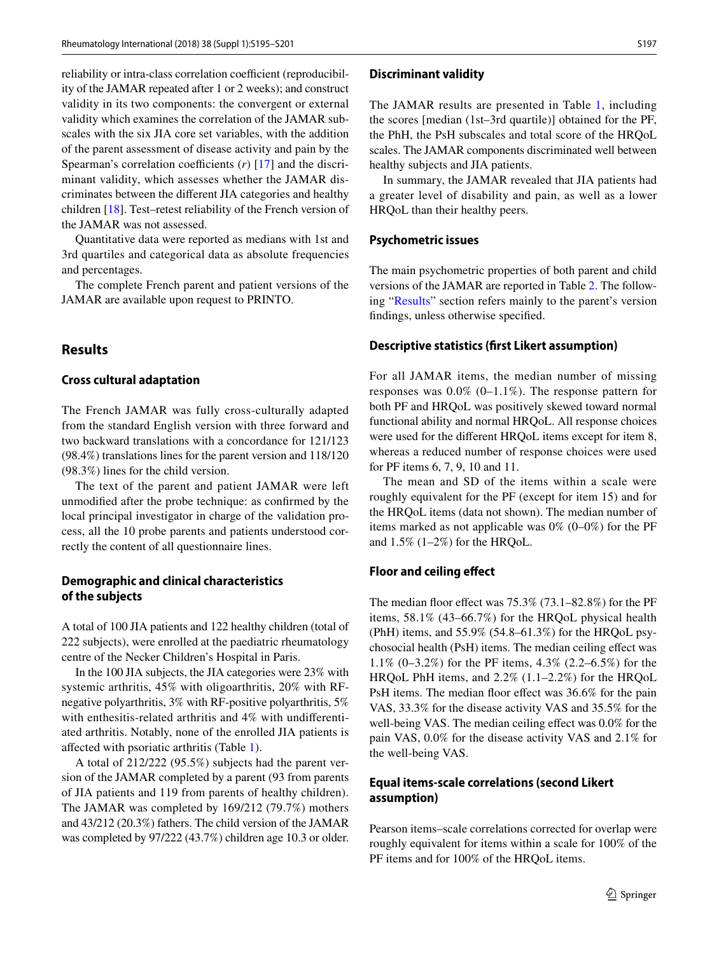reliability or intra-class correlation coefficient (reproducibility of the JAMAR repeated after 1 or 2 weeks); and construct validity in its two components: the convergent or external validity which examines the correlation of the JAMAR subscales with the six JIA core set variables, with the addition of the parent assessment of disease activity and pain by the Spearman's correlation coefficients  $(r)$  [[17](#page-6-9)] and the discriminant validity, which assesses whether the JAMAR discriminates between the diferent JIA categories and healthy children [\[18](#page-6-10)]. Test–retest reliability of the French version of the JAMAR was not assessed.

Quantitative data were reported as medians with 1st and 3rd quartiles and categorical data as absolute frequencies and percentages.

The complete French parent and patient versions of the JAMAR are available upon request to PRINTO.

#### <span id="page-2-0"></span>**Results**

#### **Cross cultural adaptation**

The French JAMAR was fully cross-culturally adapted from the standard English version with three forward and two backward translations with a concordance for 121/123 (98.4%) translations lines for the parent version and 118/120 (98.3%) lines for the child version.

The text of the parent and patient JAMAR were left unmodifed after the probe technique: as confrmed by the local principal investigator in charge of the validation process, all the 10 probe parents and patients understood correctly the content of all questionnaire lines.

#### **Demographic and clinical characteristics of the subjects**

A total of 100 JIA patients and 122 healthy children (total of 222 subjects), were enrolled at the paediatric rheumatology centre of the Necker Children's Hospital in Paris.

In the 100 JIA subjects, the JIA categories were 23% with systemic arthritis, 45% with oligoarthritis, 20% with RFnegative polyarthritis, 3% with RF-positive polyarthritis, 5% with enthesitis-related arthritis and 4% with undiferentiated arthritis. Notably, none of the enrolled JIA patients is afected with psoriatic arthritis (Table [1](#page-3-0)).

A total of 212/222 (95.5%) subjects had the parent version of the JAMAR completed by a parent (93 from parents of JIA patients and 119 from parents of healthy children). The JAMAR was completed by 169/212 (79.7%) mothers and 43/212 (20.3%) fathers. The child version of the JAMAR was completed by 97/222 (43.7%) children age 10.3 or older.

#### **Discriminant validity**

The JAMAR results are presented in Table [1,](#page-3-0) including the scores [median (1st–3rd quartile)] obtained for the PF, the PhH, the PsH subscales and total score of the HRQoL scales. The JAMAR components discriminated well between healthy subjects and JIA patients.

In summary, the JAMAR revealed that JIA patients had a greater level of disability and pain, as well as a lower HRQoL than their healthy peers.

#### **Psychometric issues**

The main psychometric properties of both parent and child versions of the JAMAR are reported in Table [2.](#page-4-0) The following "[Results"](#page-2-0) section refers mainly to the parent's version fndings, unless otherwise specifed.

#### **Descriptive statistics (frst Likert assumption)**

For all JAMAR items, the median number of missing responses was  $0.0\%$  (0–1.1%). The response pattern for both PF and HRQoL was positively skewed toward normal functional ability and normal HRQoL. All response choices were used for the diferent HRQoL items except for item 8, whereas a reduced number of response choices were used for PF items 6, 7, 9, 10 and 11.

The mean and SD of the items within a scale were roughly equivalent for the PF (except for item 15) and for the HRQoL items (data not shown). The median number of items marked as not applicable was  $0\%$  (0–0%) for the PF and  $1.5\%$  (1–2%) for the HRQoL.

#### **Floor and ceiling efect**

The median floor effect was  $75.3\%$   $(73.1–82.8\%)$  for the PF items, 58.1% (43–66.7%) for the HRQoL physical health (PhH) items, and 55.9% (54.8–61.3%) for the HRQoL psychosocial health (PsH) items. The median ceiling efect was 1.1% (0–3.2%) for the PF items, 4.3% (2.2–6.5%) for the HRQoL PhH items, and 2.2% (1.1–2.2%) for the HRQoL PsH items. The median floor effect was 36.6% for the pain VAS, 33.3% for the disease activity VAS and 35.5% for the well-being VAS. The median ceiling effect was 0.0% for the pain VAS, 0.0% for the disease activity VAS and 2.1% for the well-being VAS.

# **Equal items‑scale correlations (second Likert assumption)**

Pearson items–scale correlations corrected for overlap were roughly equivalent for items within a scale for 100% of the PF items and for 100% of the HRQoL items.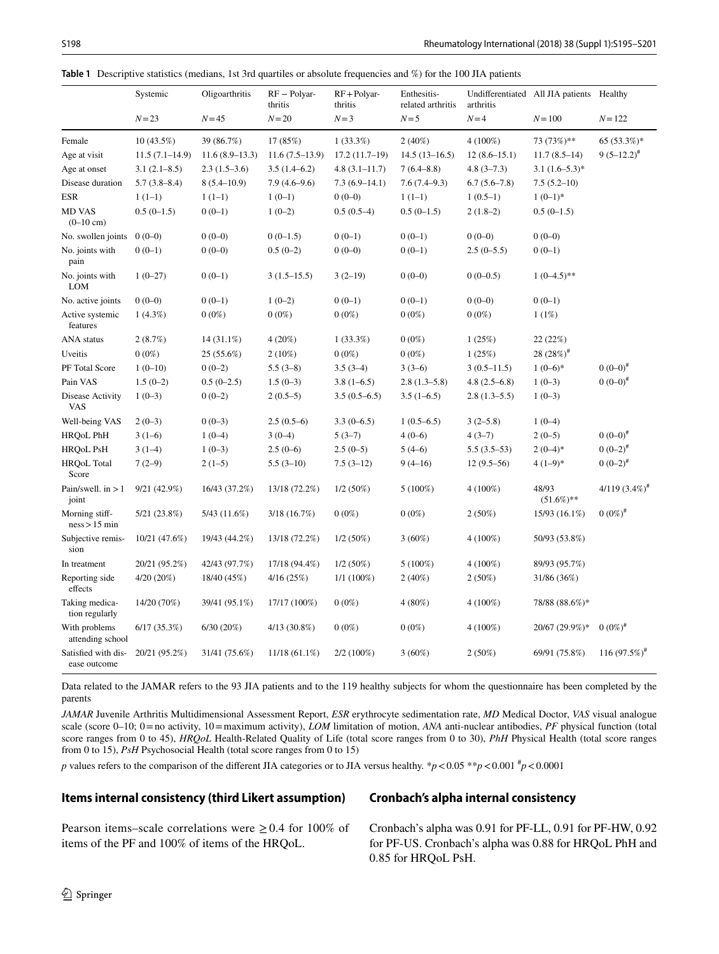<span id="page-3-0"></span>

|  | <b>Table 1</b> Descriptive statistics (medians, 1st 3rd quartiles or absolute frequencies and $\%$ ) for the 100 JIA patients |  |  |  |  |  |  |  |  |  |
|--|-------------------------------------------------------------------------------------------------------------------------------|--|--|--|--|--|--|--|--|--|
|--|-------------------------------------------------------------------------------------------------------------------------------|--|--|--|--|--|--|--|--|--|

|                                      | Systemic         | Oligoarthritis   | $RF - Polyar-$<br>thritis | $RF + Polyar-$<br>thritis | Enthesitis-<br>related arthritis | arthritis      | Undifferentiated All JIA patients | Healthy                |
|--------------------------------------|------------------|------------------|---------------------------|---------------------------|----------------------------------|----------------|-----------------------------------|------------------------|
|                                      | $N = 23$         | $N = 45$         | $N=20$                    | $N=3$                     | $N=5$                            | $N=4$          | $N = 100$                         | $N = 122$              |
| Female                               | $10(43.5\%)$     | 39 (86.7%)       | 17 (85%)                  | $1(33.3\%)$               | $2(40\%)$                        | $4(100\%)$     | 73 (73%)**                        | 65 (53.3%)*            |
| Age at visit                         | $11.5(7.1-14.9)$ | $11.6(8.9-13.3)$ | $11.6(7.5-13.9)$          | $17.2(11.7-19)$           | $14.5(13-16.5)$                  | $12(8.6-15.1)$ | $11.7(8.5-14)$                    | $9(5-12.2)^{#}$        |
| Age at onset                         | $3.1(2.1 - 8.5)$ | $2.3(1.5-3.6)$   | $3.5(1.4-6.2)$            | $4.8(3.1 - 11.7)$         | $7(6.4 - 8.8)$                   | $4.8(3 - 7.3)$ | $3.1 (1.6 - 5.3)^*$               |                        |
| Disease duration                     | $5.7(3.8 - 8.4)$ | $8(5.4 - 10.9)$  | $7.9(4.6-9.6)$            | $7.3(6.9-14.1)$           | $7.6(7.4-9.3)$                   | $6.7(5.6-7.8)$ | $7.5(5.2-10)$                     |                        |
| <b>ESR</b>                           | $1(1-1)$         | $1(1-1)$         | $1(0-1)$                  | $0(0-0)$                  | $1(1-1)$                         | $1(0.5-1)$     | $1(0-1)*$                         |                        |
| <b>MD VAS</b><br>$(0-10 \text{ cm})$ | $0.5(0-1.5)$     | $0(0-1)$         | $1(0-2)$                  | $0.5(0.5-4)$              | $0.5(0-1.5)$                     | $2(1.8-2)$     | $0.5(0-1.5)$                      |                        |
| No. swollen joints                   | $0(0-0)$         | $0(0-0)$         | $0(0-1.5)$                | $0(0-1)$                  | $0(0-1)$                         | $0(0-0)$       | $0(0-0)$                          |                        |
| No. joints with<br>pain              | $0(0-1)$         | $0(0-0)$         | $0.5(0-2)$                | $0(0-0)$                  | $0(0-1)$                         | $2.5(0-5.5)$   | $0(0-1)$                          |                        |
| No. joints with<br><b>LOM</b>        | $1(0-27)$        | $0(0-1)$         | $3(1.5-15.5)$             | $3(2-19)$                 | $0(0-0)$                         | $0(0-0.5)$     | $1(0-4.5)$ **                     |                        |
| No. active joints                    | $0(0-0)$         | $0(0-1)$         | $1(0-2)$                  | $0(0-1)$                  | $0(0-1)$                         | $0(0-0)$       | $0(0-1)$                          |                        |
| Active systemic<br>features          | $1(4.3\%)$       | $0(0\%)$         | $0(0\%)$                  | $0(0\%)$                  | $0(0\%)$                         | $0(0\%)$       | 1(1%)                             |                        |
| <b>ANA</b> status                    | 2(8.7%)          | 14 (31.1%)       | $4(20\%)$                 | $1(33.3\%)$               | $0(0\%)$                         | 1(25%)         | 22(22%)                           |                        |
| Uveitis                              | $0(0\%)$         | 25 (55.6%)       | $2(10\%)$                 | $0(0\%)$                  | $0(0\%)$                         | 1(25%)         | 28 $(28%)^{\#}$                   |                        |
| PF Total Score                       | $1(0-10)$        | $0(0-2)$         | $5.5(3-8)$                | $3.5(3-4)$                | $3(3-6)$                         | $3(0.5-11.5)$  | $1(0-6)*$                         | $0(0-0)^*$             |
| Pain VAS                             | $1.5(0-2)$       | $0.5(0-2.5)$     | $1.5(0-3)$                | $3.8(1-6.5)$              | $2.8(1.3-5.8)$                   | $4.8(2.5-6.8)$ | $1(0-3)$                          | $0(0-0)^{*}$           |
| Disease Activity<br><b>VAS</b>       | $1(0-3)$         | $0(0-2)$         | $2(0.5-5)$                | $3.5(0.5-6.5)$            | $3.5(1-6.5)$                     | $2.8(1.3-5.5)$ | $1(0-3)$                          |                        |
| Well-being VAS                       | $2(0-3)$         | $0(0-3)$         | $2.5(0.5-6)$              | $3.3(0-6.5)$              | $1(0.5-6.5)$                     | $3(2-5.8)$     | $1(0-4)$                          |                        |
| HRQoL PhH                            | $3(1-6)$         | $1(0-4)$         | $3(0-4)$                  | $5(3-7)$                  | $4(0-6)$                         | $4(3-7)$       | $2(0-5)$                          | $0(0-0)^*$             |
| <b>HRQoL PsH</b>                     | $3(1-4)$         | $1(0-3)$         | $2.5(0-6)$                | $2.5(0-5)$                | $5(4-6)$                         | $5.5(3.5-53)$  | $2(0-4)*$                         | $0(0-2)^{#}$           |
| <b>HRQoL Total</b><br>Score          | $7(2-9)$         | $2(1-5)$         | $5.5(3-10)$               | $7.5(3-12)$               | $9(4-16)$                        | $12(9.5-56)$   | $4(1-9)*$                         | $0(0-2)^{#}$           |
| Pain/swell. in $>1$<br>joint         | 9/21(42.9%)      | 16/43 (37.2%)    | 13/18 (72.2%)             | $1/2(50\%)$               | $5(100\%)$                       | $4(100\%)$     | 48/93<br>$(51.6\%)**$             | $4/119$ $(3.4\%)^{\#}$ |
| Morning stiff-<br>ness > 15 min      | 5/21 (23.8%)     | 5/43 (11.6%)     | 3/18(16.7%)               | $0(0\%)$                  | $0(0\%)$                         | $2(50\%)$      | 15/93 (16.1%)                     | $0(0\%)^{\#}$          |
| Subjective remis-<br>sion            | 10/21 (47.6%)    | 19/43 (44.2%)    | 13/18 (72.2%)             | $1/2(50\%)$               | $3(60\%)$                        | $4(100\%)$     | 50/93 (53.8%)                     |                        |
| In treatment                         | 20/21 (95.2%)    | 42/43 (97.7%)    | 17/18 (94.4%)             | $1/2(50\%)$               | $5(100\%)$                       | $4(100\%)$     | 89/93 (95.7%)                     |                        |
| Reporting side<br>effects            | 4/20(20%)        | 18/40 (45%)      | 4/16(25%)                 | $1/1(100\%)$              | $2(40\%)$                        | $2(50\%)$      | 31/86 (36%)                       |                        |
| Taking medica-<br>tion regularly     | 14/20 (70%)      | 39/41 (95.1%)    | 17/17 (100%)              | $0(0\%)$                  | $4(80\%)$                        | $4(100\%)$     | 78/88 (88.6%)*                    |                        |
| With problems<br>attending school    | 6/17(35.3%)      | 6/30(20%)        | $4/13(30.8\%)$            | $0(0\%)$                  | $0(0\%)$                         | $4(100\%)$     | 20/67 (29.9%)*                    | $0(0\%)^{\#}$          |
| Satisfied with dis-<br>ease outcome  | 20/21 (95.2%)    | 31/41 (75.6%)    | $11/18(61.1\%)$           | $2/2(100\%)$              | $3(60\%)$                        | $2(50\%)$      | 69/91 (75.8%)                     | $116(97.5%)^*$         |

Data related to the JAMAR refers to the 93 JIA patients and to the 119 healthy subjects for whom the questionnaire has been completed by the parents

*JAMAR* Juvenile Arthritis Multidimensional Assessment Report, *ESR* erythrocyte sedimentation rate, *MD* Medical Doctor, *VAS* visual analogue scale (score 0–10; 0 = no activity, 10 = maximum activity), *LOM* limitation of motion, *ANA* anti-nuclear antibodies, *PF* physical function (total score ranges from 0 to 45), *HRQoL* Health-Related Quality of Life (total score ranges from 0 to 30), *PhH* Physical Health (total score ranges from 0 to 15), *PsH* Psychosocial Health (total score ranges from 0 to 15)

*p* values refers to the comparison of the different JIA categories or to JIA versus healthy.  $*p < 0.05 **p < 0.001$   $*p < 0.0001$ 

#### **Items internal consistency (third Likert assumption)**

# **Cronbach's alpha internal consistency**

Pearson items–scale correlations were  $\geq 0.4$  for 100% of items of the PF and 100% of items of the HRQoL.

Cronbach's alpha was 0.91 for PF-LL, 0.91 for PF-HW, 0.92 for PF-US. Cronbach's alpha was 0.88 for HRQoL PhH and 0.85 for HRQoL PsH.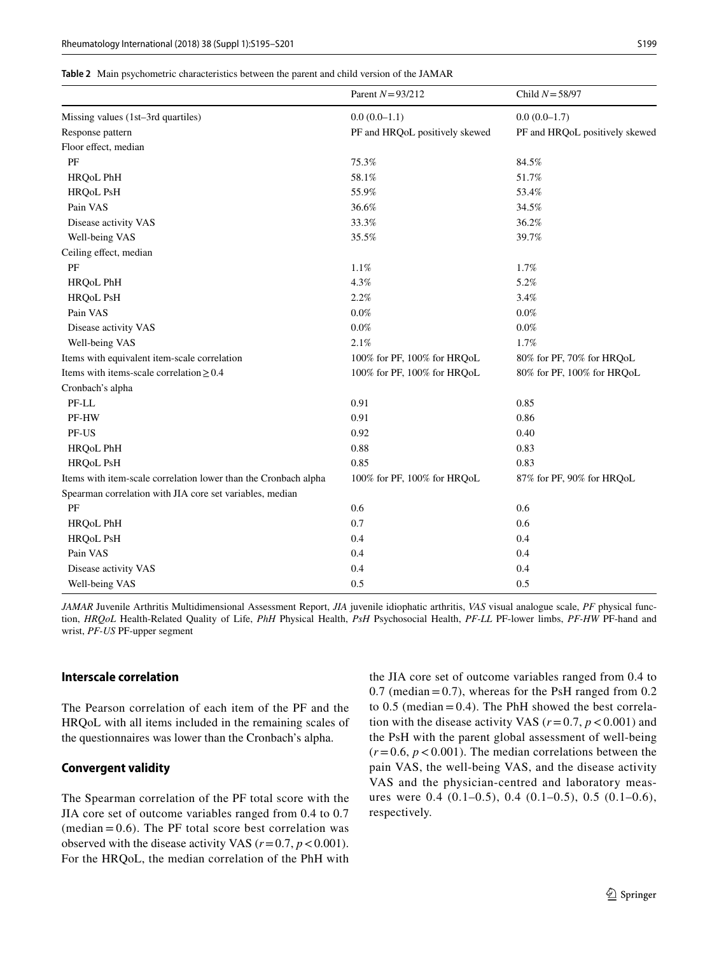<span id="page-4-0"></span>

|  |  | <b>Table 2</b> Main psychometric characteristics between the parent and child version of the JAMAR |  |  |  |  |  |  |
|--|--|----------------------------------------------------------------------------------------------------|--|--|--|--|--|--|
|--|--|----------------------------------------------------------------------------------------------------|--|--|--|--|--|--|

|                                                                 | Parent $N = 93/212$            | Child $N = 58/97$              |
|-----------------------------------------------------------------|--------------------------------|--------------------------------|
| Missing values (1st-3rd quartiles)                              | $0.0(0.0-1.1)$                 | $0.0(0.0-1.7)$                 |
| Response pattern                                                | PF and HRQoL positively skewed | PF and HRQoL positively skewed |
| Floor effect, median                                            |                                |                                |
| PF                                                              | 75.3%                          | 84.5%                          |
| HRQoL PhH                                                       | 58.1%                          | 51.7%                          |
| HRQoL PsH                                                       | 55.9%                          | 53.4%                          |
| Pain VAS                                                        | 36.6%                          | 34.5%                          |
| Disease activity VAS                                            | 33.3%                          | 36.2%                          |
| Well-being VAS                                                  | 35.5%                          | 39.7%                          |
| Ceiling effect, median                                          |                                |                                |
| PF                                                              | 1.1%                           | 1.7%                           |
| HRQoL PhH                                                       | 4.3%                           | 5.2%                           |
| <b>HRQoL PsH</b>                                                | 2.2%                           | 3.4%                           |
| Pain VAS                                                        | $0.0\%$                        | $0.0\%$                        |
| Disease activity VAS                                            | $0.0\%$                        | $0.0\%$                        |
| Well-being VAS                                                  | 2.1%                           | 1.7%                           |
| Items with equivalent item-scale correlation                    | 100% for PF, 100% for HRQoL    | 80% for PF, 70% for HRQoL      |
| Items with items-scale correlation $\geq 0.4$                   | 100% for PF, 100% for HRQoL    | 80% for PF, 100% for HRQoL     |
| Cronbach's alpha                                                |                                |                                |
| PF-LL                                                           | 0.91                           | 0.85                           |
| PF-HW                                                           | 0.91                           | 0.86                           |
| PF-US                                                           | 0.92                           | 0.40                           |
| <b>HRQoL PhH</b>                                                | 0.88                           | 0.83                           |
| <b>HRQoL PsH</b>                                                | 0.85                           | 0.83                           |
| Items with item-scale correlation lower than the Cronbach alpha | 100% for PF, 100% for HRQoL    | 87% for PF, 90% for HRQoL      |
| Spearman correlation with JIA core set variables, median        |                                |                                |
| PF                                                              | 0.6                            | 0.6                            |
| <b>HRQoL PhH</b>                                                | 0.7                            | 0.6                            |
| HRQoL PsH                                                       | 0.4                            | 0.4                            |
| Pain VAS                                                        | 0.4                            | 0.4                            |
| Disease activity VAS                                            | 0.4                            | 0.4                            |
| Well-being VAS                                                  | 0.5                            | 0.5                            |

*JAMAR* Juvenile Arthritis Multidimensional Assessment Report, *JIA* juvenile idiophatic arthritis, *VAS* visual analogue scale, *PF* physical function, *HRQoL* Health-Related Quality of Life, *PhH* Physical Health, *PsH* Psychosocial Health, *PF-LL* PF-lower limbs, *PF-HW* PF-hand and wrist, *PF-US* PF-upper segment

#### **Interscale correlation**

The Pearson correlation of each item of the PF and the HRQoL with all items included in the remaining scales of the questionnaires was lower than the Cronbach's alpha.

#### **Convergent validity**

The Spearman correlation of the PF total score with the JIA core set of outcome variables ranged from 0.4 to 0.7  $(median = 0.6)$ . The PF total score best correlation was observed with the disease activity VAS  $(r=0.7, p<0.001)$ . For the HRQoL, the median correlation of the PhH with the JIA core set of outcome variables ranged from 0.4 to  $0.7$  (median = 0.7), whereas for the PsH ranged from 0.2 to  $0.5$  (median =  $0.4$ ). The PhH showed the best correlation with the disease activity VAS ( $r = 0.7$ ,  $p < 0.001$ ) and the PsH with the parent global assessment of well-being  $(r=0.6, p<0.001)$ . The median correlations between the pain VAS, the well-being VAS, and the disease activity VAS and the physician-centred and laboratory measures were 0.4 (0.1–0.5), 0.4 (0.1–0.5), 0.5 (0.1–0.6), respectively.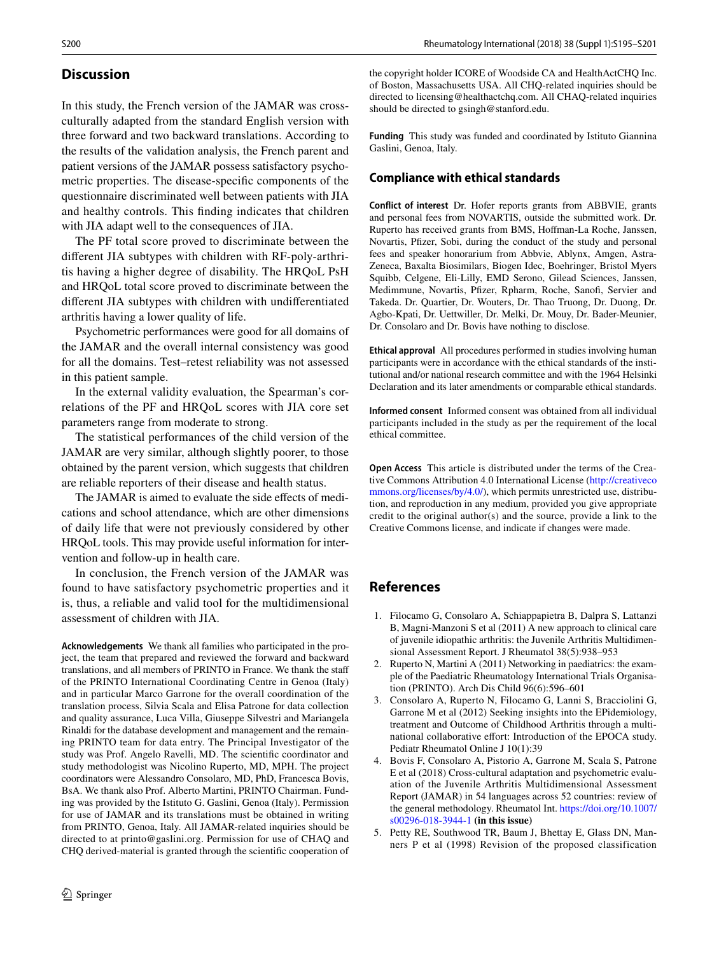# **Discussion**

In this study, the French version of the JAMAR was crossculturally adapted from the standard English version with three forward and two backward translations. According to the results of the validation analysis, the French parent and patient versions of the JAMAR possess satisfactory psychometric properties. The disease-specifc components of the questionnaire discriminated well between patients with JIA and healthy controls. This fnding indicates that children with JIA adapt well to the consequences of JIA.

The PF total score proved to discriminate between the diferent JIA subtypes with children with RF-poly-arthritis having a higher degree of disability. The HRQoL PsH and HRQoL total score proved to discriminate between the diferent JIA subtypes with children with undiferentiated arthritis having a lower quality of life.

Psychometric performances were good for all domains of the JAMAR and the overall internal consistency was good for all the domains. Test–retest reliability was not assessed in this patient sample.

In the external validity evaluation, the Spearman's correlations of the PF and HRQoL scores with JIA core set parameters range from moderate to strong.

The statistical performances of the child version of the JAMAR are very similar, although slightly poorer, to those obtained by the parent version, which suggests that children are reliable reporters of their disease and health status.

The JAMAR is aimed to evaluate the side effects of medications and school attendance, which are other dimensions of daily life that were not previously considered by other HRQoL tools. This may provide useful information for intervention and follow-up in health care.

In conclusion, the French version of the JAMAR was found to have satisfactory psychometric properties and it is, thus, a reliable and valid tool for the multidimensional assessment of children with JIA.

**Acknowledgements** We thank all families who participated in the project, the team that prepared and reviewed the forward and backward translations, and all members of PRINTO in France. We thank the staf of the PRINTO International Coordinating Centre in Genoa (Italy) and in particular Marco Garrone for the overall coordination of the translation process, Silvia Scala and Elisa Patrone for data collection and quality assurance, Luca Villa, Giuseppe Silvestri and Mariangela Rinaldi for the database development and management and the remaining PRINTO team for data entry. The Principal Investigator of the study was Prof. Angelo Ravelli, MD. The scientifc coordinator and study methodologist was Nicolino Ruperto, MD, MPH. The project coordinators were Alessandro Consolaro, MD, PhD, Francesca Bovis, BsA. We thank also Prof. Alberto Martini, PRINTO Chairman. Funding was provided by the Istituto G. Gaslini, Genoa (Italy). Permission for use of JAMAR and its translations must be obtained in writing from PRINTO, Genoa, Italy. All JAMAR-related inquiries should be directed to at printo@gaslini.org. Permission for use of CHAQ and CHQ derived-material is granted through the scientifc cooperation of the copyright holder ICORE of Woodside CA and HealthActCHQ Inc. of Boston, Massachusetts USA. All CHQ-related inquiries should be directed to licensing@healthactchq.com. All CHAQ-related inquiries should be directed to gsingh@stanford.edu.

**Funding** This study was funded and coordinated by Istituto Giannina Gaslini, Genoa, Italy.

# **Compliance with ethical standards**

**Conflict of interest** Dr. Hofer reports grants from ABBVIE, grants and personal fees from NOVARTIS, outside the submitted work. Dr. Ruperto has received grants from BMS, Hofman-La Roche, Janssen, Novartis, Pfzer, Sobi, during the conduct of the study and personal fees and speaker honorarium from Abbvie, Ablynx, Amgen, Astra-Zeneca, Baxalta Biosimilars, Biogen Idec, Boehringer, Bristol Myers Squibb, Celgene, Eli-Lilly, EMD Serono, Gilead Sciences, Janssen, Medimmune, Novartis, Pfizer, Rpharm, Roche, Sanofi, Servier and Takeda. Dr. Quartier, Dr. Wouters, Dr. Thao Truong, Dr. Duong, Dr. Agbo-Kpati, Dr. Uettwiller, Dr. Melki, Dr. Mouy, Dr. Bader-Meunier, Dr. Consolaro and Dr. Bovis have nothing to disclose.

**Ethical approval** All procedures performed in studies involving human participants were in accordance with the ethical standards of the institutional and/or national research committee and with the 1964 Helsinki Declaration and its later amendments or comparable ethical standards.

**Informed consent** Informed consent was obtained from all individual participants included in the study as per the requirement of the local ethical committee.

**Open Access** This article is distributed under the terms of the Creative Commons Attribution 4.0 International License ([http://creativeco](http://creativecommons.org/licenses/by/4.0/) [mmons.org/licenses/by/4.0/](http://creativecommons.org/licenses/by/4.0/)), which permits unrestricted use, distribution, and reproduction in any medium, provided you give appropriate credit to the original author(s) and the source, provide a link to the Creative Commons license, and indicate if changes were made.

# **References**

- <span id="page-5-0"></span>1. Filocamo G, Consolaro A, Schiappapietra B, Dalpra S, Lattanzi B, Magni-Manzoni S et al (2011) A new approach to clinical care of juvenile idiopathic arthritis: the Juvenile Arthritis Multidimensional Assessment Report. J Rheumatol 38(5):938–953
- <span id="page-5-1"></span>2. Ruperto N, Martini A (2011) Networking in paediatrics: the example of the Paediatric Rheumatology International Trials Organisation (PRINTO). Arch Dis Child 96(6):596–601
- <span id="page-5-2"></span>3. Consolaro A, Ruperto N, Filocamo G, Lanni S, Bracciolini G, Garrone M et al (2012) Seeking insights into the EPidemiology, treatment and Outcome of Childhood Arthritis through a multinational collaborative effort: Introduction of the EPOCA study. Pediatr Rheumatol Online J 10(1):39
- <span id="page-5-3"></span>4. Bovis F, Consolaro A, Pistorio A, Garrone M, Scala S, Patrone E et al (2018) Cross-cultural adaptation and psychometric evaluation of the Juvenile Arthritis Multidimensional Assessment Report (JAMAR) in 54 languages across 52 countries: review of the general methodology. Rheumatol Int. [https://doi.org/10.1007/](https://doi.org/10.1007/s00296-018-3944-1) [s00296-018-3944-1](https://doi.org/10.1007/s00296-018-3944-1) **(in this issue)**
- <span id="page-5-4"></span>5. Petty RE, Southwood TR, Baum J, Bhettay E, Glass DN, Manners P et al (1998) Revision of the proposed classification